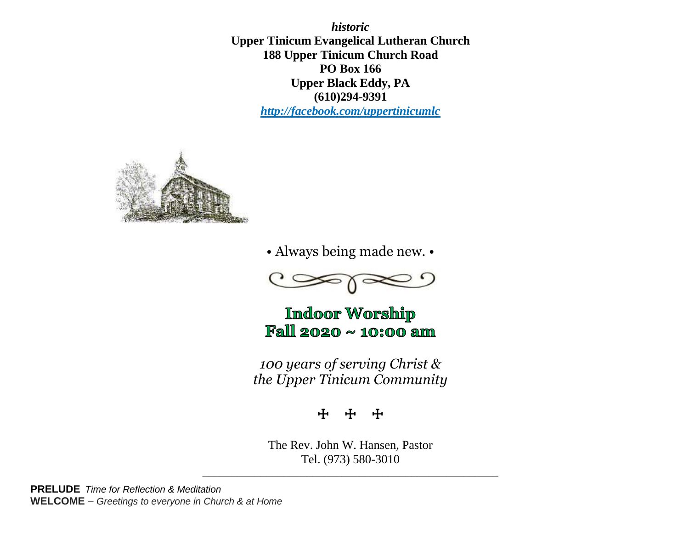*historic* **Upper Tinicum Evangelical Lutheran Church 188 Upper Tinicum Church Road PO Box 166 Upper Black Eddy, PA (610)294-9391** *http://facebook.com/uppertinicumlc*



• Always being made new. •



**Indoor Worship** Fall 2020 ~ 10:00 am

*100 years of serving Christ & the Upper Tinicum Community*

☩ ☩ ☩

The Rev. John W. Hansen, Pastor Tel. (973) 580-3010

**\_\_\_\_\_\_\_\_\_\_\_\_\_\_\_\_\_\_\_\_\_\_\_\_\_\_\_\_\_\_\_\_\_\_\_\_\_\_\_\_\_\_\_\_\_\_\_\_\_\_\_**

**PRELUDE** *Time for Reflection & Meditation* **WELCOME** – *Greetings to everyone in Church & at Home*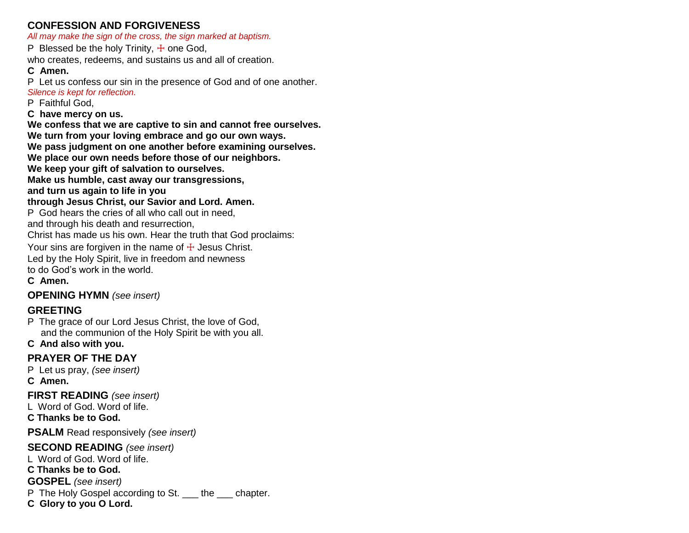#### **CONFESSION AND FORGIVENESS**

*All may make the sign of the cross, the sign marked at baptism.*

P Blessed be the holy Trinity,  $\pm$  one God,

who creates, redeems, and sustains us and all of creation.

#### **C Amen.**

P Let us confess our sin in the presence of God and of one another. *Silence is kept for reflection.*

P Faithful God,

**C have mercy on us.**

**We confess that we are captive to sin and cannot free ourselves.**

**We turn from your loving embrace and go our own ways.**

**We pass judgment on one another before examining ourselves.**

**We place our own needs before those of our neighbors.**

**We keep your gift of salvation to ourselves.**

**Make us humble, cast away our transgressions,**

**and turn us again to life in you**

#### **through Jesus Christ, our Savior and Lord. Amen.**

P God hears the cries of all who call out in need,

and through his death and resurrection,

Christ has made us his own. Hear the truth that God proclaims:

Your sins are forgiven in the name of  $+$  Jesus Christ.

Led by the Holy Spirit, live in freedom and newness

to do God's work in the world.

#### **C Amen.**

**OPENING HYMN** *(see insert)*

### **GREETING**

P The grace of our Lord Jesus Christ, the love of God, and the communion of the Holy Spirit be with you all.

**C And also with you.**

### **PRAYER OF THE DAY**

P Let us pray, *(see insert)*

**C Amen.**

**FIRST READING** *(see insert)*

L Word of God. Word of life.

**C Thanks be to God.**

**PSALM** Read responsively *(see insert)*

#### **SECOND READING** *(see insert)*

L Word of God. Word of life.

**C Thanks be to God.**

**GOSPEL** *(see insert)*

P The Holy Gospel according to St. the chapter.

**C Glory to you O Lord.**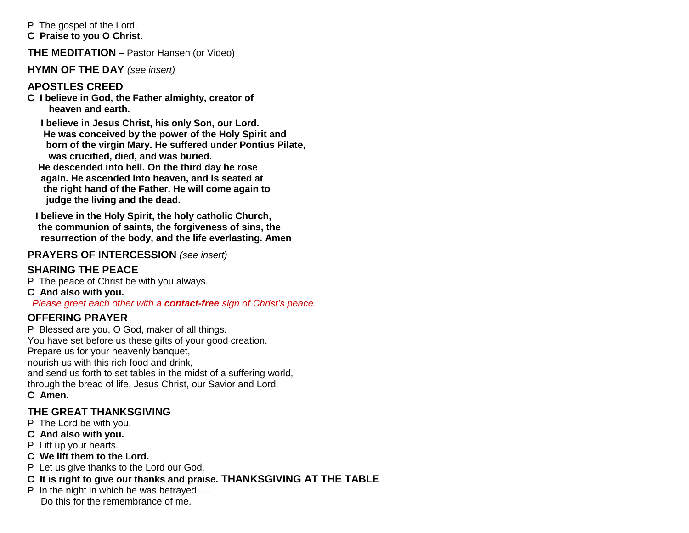P The gospel of the Lord.

**C Praise to you O Christ.**

**THE MEDITATION** – Pastor Hansen (or Video)

**HYMN OF THE DAY** *(see insert)*

#### **APOSTLES CREED**

**C I believe in God, the Father almighty, creator of heaven and earth.**

 **I believe in Jesus Christ, his only Son, our Lord. He was conceived by the power of the Holy Spirit and born of the virgin Mary. He suffered under Pontius Pilate, was crucified, died, and was buried. He descended into hell. On the third day he rose again. He ascended into heaven, and is seated at the right hand of the Father. He will come again to judge the living and the dead.**

**I believe in the Holy Spirit, the holy catholic Church, the communion of saints, the forgiveness of sins, the resurrection of the body, and the life everlasting. Amen**

#### **PRAYERS OF INTERCESSION** *(see insert)*

### **SHARING THE PEACE**

P The peace of Christ be with you always.

**C And also with you.**

 *Please greet each other with a contact-free sign of Christ's peace.*

### **OFFERING PRAYER**

P Blessed are you, O God, maker of all things. You have set before us these gifts of your good creation. Prepare us for your heavenly banquet, nourish us with this rich food and drink, and send us forth to set tables in the midst of a suffering world, through the bread of life, Jesus Christ, our Savior and Lord. **C Amen.**

#### **THE GREAT THANKSGIVING**

P The Lord be with you.

- **C And also with you.**
- P Lift up your hearts.
- **C We lift them to the Lord.**
- P Let us give thanks to the Lord our God.
- **C It is right to give our thanks and praise. THANKSGIVING AT THE TABLE**
- P In the night in which he was betrayed, … Do this for the remembrance of me.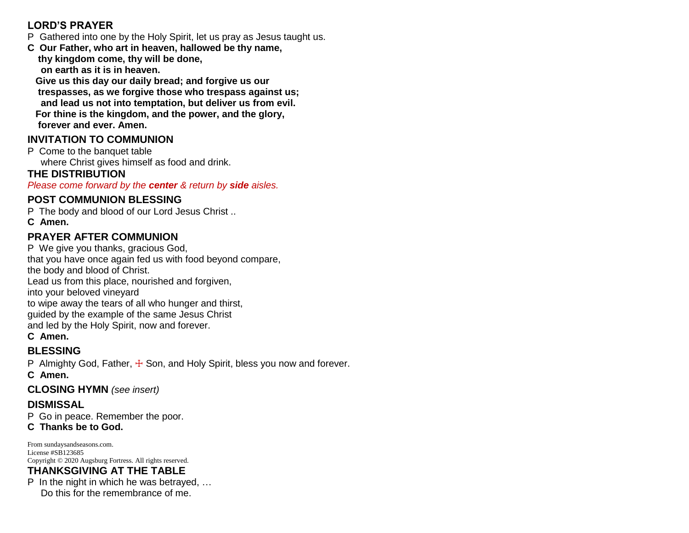#### **LORD'S PRAYER**

- P Gathered into one by the Holy Spirit, let us pray as Jesus taught us.
- **C Our Father, who art in heaven, hallowed be thy name, thy kingdom come, thy will be done, on earth as it is in heaven.**

 **Give us this day our daily bread; and forgive us our trespasses, as we forgive those who trespass against us; and lead us not into temptation, but deliver us from evil. For thine is the kingdom, and the power, and the glory, forever and ever. Amen.**

## **INVITATION TO COMMUNION**

P Come to the banquet table where Christ gives himself as food and drink.

#### **THE DISTRIBUTION**

*Please come forward by the center & return by side aisles.*

## **POST COMMUNION BLESSING**

P The body and blood of our Lord Jesus Christ .. **C Amen.**

## **PRAYER AFTER COMMUNION**

P We give you thanks, gracious God, that you have once again fed us with food beyond compare, the body and blood of Christ. Lead us from this place, nourished and forgiven, into your beloved vineyard to wipe away the tears of all who hunger and thirst, guided by the example of the same Jesus Christ and led by the Holy Spirit, now and forever. **C Amen.**

# **BLESSING**

P Almighty God, Father,  $\pm$  Son, and Holy Spirit, bless you now and forever.

**C Amen.**

**CLOSING HYMN** *(see insert)*

## **DISMISSAL**

P Go in peace. Remember the poor.

**C Thanks be to God.**

From sundaysandseasons.com. License #SB123685 Copyright © 2020 Augsburg Fortress. All rights reserved.

# **THANKSGIVING AT THE TABLE**

P In the night in which he was betrayed, … Do this for the remembrance of me.